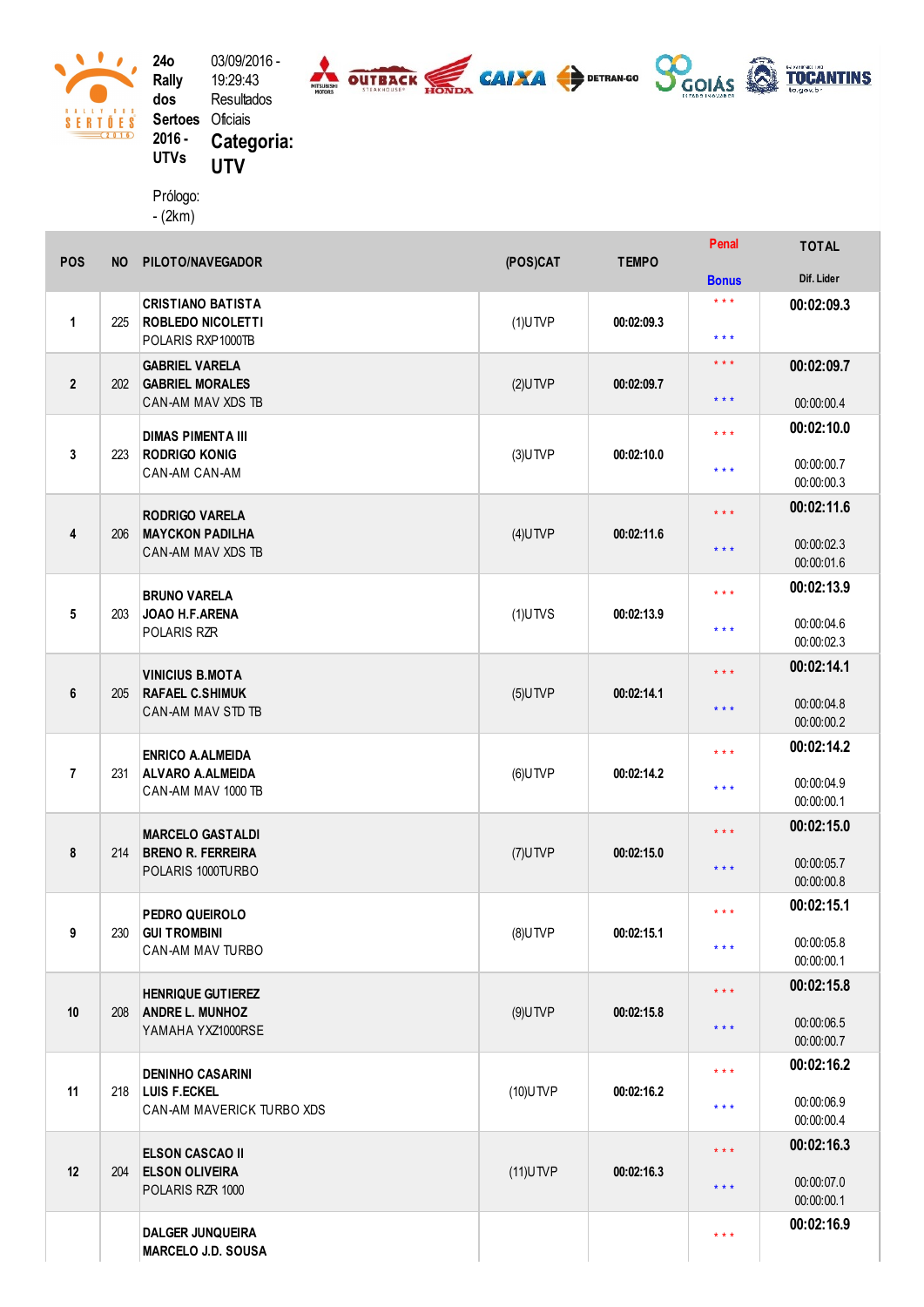

 $\mathcal{L}$  $\begin{array}{c}\n8 & A & 1 & 1 & 1 & 1 & 1 & 1 & 1 & 1 \\
8 & E & R & T & 0 & E & S \\
\hline\n\end{array}$ 

2 4 o R ally d o s Sertoes Oficiais 2016 -UTVs 03/09/2016 -1 9:2 9:4 3 Resultados Categoria: UTV

Prólogo: (2km)

| <b>POS</b>     | <b>NO</b> | PILOTO/NAVEGADOR                                                          | (POS)CAT    | <b>TEMPO</b> | Penal                                          | <b>TOTAL</b>             |
|----------------|-----------|---------------------------------------------------------------------------|-------------|--------------|------------------------------------------------|--------------------------|
|                |           |                                                                           |             |              | <b>Bonus</b>                                   | Dif. Lider               |
| $\mathbf{1}$   | 225       | <b>CRISTIANO BATISTA</b><br><b>ROBLEDO NICOLETTI</b><br>POLARIS RXP1000TB | $(1)$ UTVP  | 00:02:09.3   | $***$<br>* * *                                 | 00:02:09.3               |
| $\overline{2}$ | 202       | <b>GABRIEL VARELA</b><br><b>GABRIEL MORALES</b><br>CAN-AM MAV XDS TB      | $(2)$ UTVP  | 00:02:09.7   | $\star$ $\star$ $\star$<br>$\star \star \star$ | 00:02:09.7<br>00:00:00.4 |
|                |           |                                                                           |             |              |                                                | 00:02:10.0               |
| 3              | 223       | <b>DIMAS PIMENTA III</b><br><b>RODRIGO KONIG</b><br>CAN-AM CAN-AM         | $(3)$ UTVP  | 00:02:10.0   | $***$<br>$***$                                 | 00:00:00.7<br>00:00:00.3 |
|                |           |                                                                           |             | 00:02:11.6   | $* * *$                                        | 00:02:11.6               |
| 4              | 206       | <b>RODRIGO VARELA</b><br><b>MAYCKON PADILHA</b><br>CAN-AM MAV XDS TB      | $(4)$ UTVP  |              | $***$                                          | 00:00:02.3<br>00:00:01.6 |
|                |           | <b>BRUNO VARELA</b>                                                       |             |              | $\star$ $\star$ $\star$                        | 00:02:13.9               |
| 5              | 203       | JOAO H.F.ARENA<br><b>POLARIS RZR</b>                                      | $(1)$ UTVS  | 00:02:13.9   | $***$                                          | 00:00:04.6<br>00:00:02.3 |
|                |           | <b>VINICIUS B.MOTA</b>                                                    |             | 00:02:14.1   | $\star\star\star$                              | 00:02:14.1               |
| 6              | 205       | <b>RAFAEL C.SHIMUK</b><br>CAN-AM MAV STD TB                               | $(5)$ UTVP  |              | $***$                                          | 00:00:04.8<br>00:00:00.2 |
|                |           | <b>ENRICO A.ALMEIDA</b>                                                   |             | 00:02:14.2   | $\star$ $\star$ $\star$                        | 00:02:14.2               |
| $\overline{7}$ | 231       | <b>ALVARO A.ALMEIDA</b><br>CAN-AM MAV 1000 TB                             | $(6)$ UTVP  |              | * * *                                          | 00:00:04.9<br>00:00:00.1 |
|                |           | <b>MARCELO GASTALDI</b>                                                   |             | 00:02:15.0   | $* * *$                                        | 00:02:15.0               |
| 8              | 214       | <b>BRENO R. FERREIRA</b><br>POLARIS 1000TURBO                             | $(7)$ UTVP  |              | $***$                                          | 00:00:05.7<br>00:00:00.8 |
|                |           | PEDRO QUEIROLO                                                            |             | 00:02:15.1   | $\star$ $\star$ $\star$                        | 00:02:15.1               |
| 9              | 230       | <b>GUI TROMBINI</b><br>CAN-AM MAV TURBO                                   | $(8)$ UTVP  |              | $***$                                          | 00:00:05.8<br>00:00:00.1 |
|                |           | <b>HENRIQUE GUTIEREZ</b>                                                  |             | 00:02:15.8   | $\star\star\star$                              | 00:02:15.8               |
| 10             | 208       | <b>ANDRE L. MUNHOZ</b><br>YAMAHA YXZ1000RSE                               | $(9)$ UTVP  |              | $\star$ $\star$ $\star$                        | 00:00:06.5<br>00:00:00.7 |
|                | 218       | <b>DENINHO CASARINI</b><br>LUIS F.ECKEL<br>CAN-AM MAVERICK TURBO XDS      | (10) UTVP   | 00:02:16.2   | $***$                                          | 00:02:16.2               |
| 11             |           |                                                                           |             |              | $***$                                          | 00:00:06.9<br>00:00:00.4 |
|                |           | <b>ELSON CASCAO II</b>                                                    |             | 00:02:16.3   | $***$                                          | 00:02:16.3               |
| 12             | 204       | <b>ELSON OLIVEIRA</b><br>POLARIS RZR 1000                                 | $(11)$ UTVP |              | $***$                                          | 00:00:07.0<br>00:00:00.1 |
|                |           | <b>DALGER JUNQUEIRA</b><br><b>MARCELO J.D. SOUSA</b>                      |             |              | $***$                                          | 00:02:16.9               |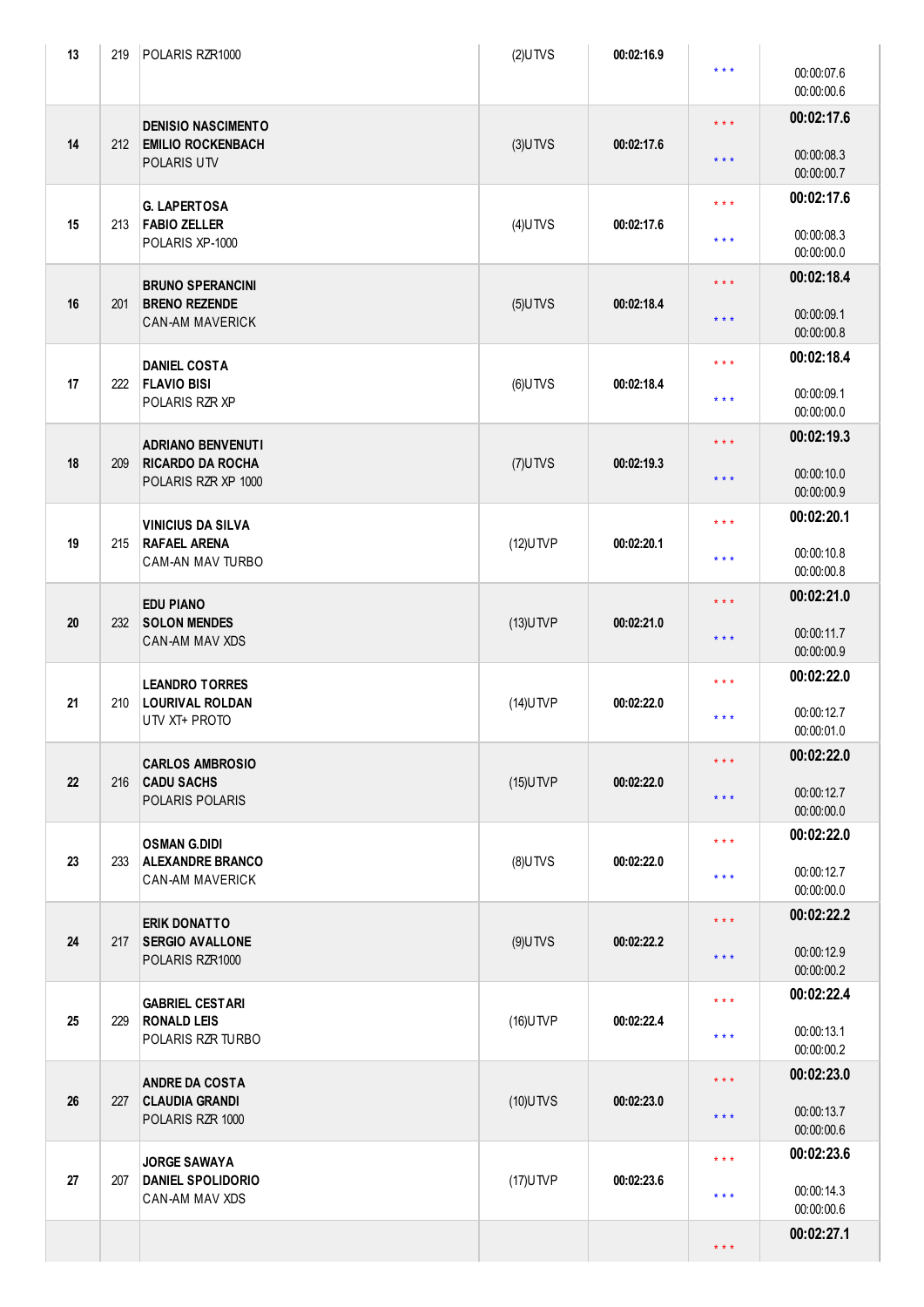| 13 | 219 | POLARIS RZR1000                                                            | $(2)$ UTVS  | 00:02:16.9 | $***$               | 00:00:07.6<br>00:00:00.6 |
|----|-----|----------------------------------------------------------------------------|-------------|------------|---------------------|--------------------------|
| 14 | 212 | <b>DENISIO NASCIMENTO</b><br><b>EMILIO ROCKENBACH</b><br>POLARIS UTV       | $(3)$ UTVS  | 00:02:17.6 | $\star \star \star$ | 00:02:17.6               |
|    |     |                                                                            |             |            | $\star \star \star$ | 00:00:08.3<br>00:00:00.7 |
| 15 | 213 | <b>G. LAPERTOSA</b><br><b>FABIO ZELLER</b><br>POLARIS XP-1000              | $(4)$ UTVS  | 00:02:17.6 | $\star \star \star$ | 00:02:17.6               |
|    |     |                                                                            |             |            | $***$               | 00:00:08.3<br>00:00:00.0 |
| 16 | 201 | <b>BRUNO SPERANCINI</b><br><b>BRENO REZENDE</b><br><b>CAN-AM MAVERICK</b>  | $(5)$ UTVS  | 00:02:18.4 | $\star \star \star$ | 00:02:18.4               |
|    |     |                                                                            |             |            | $***$               | 00:00:09.1<br>00:00:00.8 |
| 17 | 222 | <b>DANIEL COSTA</b><br><b>FLAVIO BISI</b><br>POLARIS RZR XP                |             | 00:02:18.4 | $\star \star \star$ | 00:02:18.4               |
|    |     |                                                                            | $(6)$ UTVS  |            | $***$               | 00:00:09.1<br>00:00:00.0 |
|    | 209 | <b>ADRIANO BENVENUTI</b><br><b>RICARDO DA ROCHA</b><br>POLARIS RZR XP 1000 | $(7)$ UTVS  | 00:02:19.3 | $\star \star \star$ | 00:02:19.3               |
| 18 |     |                                                                            |             |            | $\star \star \star$ | 00:00:10.0<br>00:00:00.9 |
|    |     | <b>VINICIUS DA SILVA</b><br><b>RAFAEL ARENA</b><br><b>CAM-AN MAV TURBO</b> | $(12)$ UTVP | 00:02:20.1 | $***$               | 00:02:20.1               |
| 19 | 215 |                                                                            |             |            | $***$               | 00:00:10.8<br>00:00:00.8 |
|    |     | <b>EDU PIANO</b><br><b>SOLON MENDES</b><br><b>CAN-AM MAV XDS</b>           |             | 00:02:21.0 | $\star \star \star$ | 00:02:21.0               |
| 20 | 232 |                                                                            | $(13)$ UTVP |            | $\star \star \star$ | 00:00:11.7<br>00:00:00.9 |
|    | 210 | <b>LEANDRO TORRES</b><br><b>LOURIVAL ROLDAN</b><br>UTV XT+ PROTO           | $(14)$ UTVP | 00:02:22.0 | $***$               | 00:02:22.0               |
| 21 |     |                                                                            |             |            | $***$               | 00:00:12.7<br>00:00:01.0 |
|    |     | <b>CARLOS AMBROSIO</b>                                                     |             | 00:02:22.0 | $\star \star \star$ | 00:02:22.0               |
| 22 | 216 | <b>CADU SACHS</b><br>POLARIS POLARIS                                       | $(15)$ UTVP |            | * * *               | 00:00:12.7<br>00:00:00.0 |
|    |     | <b>OSMAN G.DIDI</b>                                                        |             | 00:02:22.0 | $\star \star \star$ | 00:02:22.0               |
| 23 | 233 | <b>ALEXANDRE BRANCO</b><br><b>CAN-AM MAVERICK</b>                          | $(8)$ UTVS  |            | $***$               | 00:00:12.7<br>00:00:00.0 |
|    | 217 | <b>ERIK DONATTO</b><br><b>SERGIO AVALLONE</b><br>POLARIS RZR1000           | $(9)$ UTVS  | 00:02:22.2 | $\star\star\star$   | 00:02:22.2               |
| 24 |     |                                                                            |             |            | $\star \star \star$ | 00:00:12.9<br>00:00:00.2 |
|    | 229 | <b>GABRIEL CESTARI</b><br><b>RONALD LEIS</b><br>POLARIS RZR TURBO          | $(16)$ UTVP | 00:02:22.4 | $\star \star \star$ | 00:02:22.4               |
| 25 |     |                                                                            |             |            | $***$               | 00:00:13.1<br>00:00:00.2 |
|    | 227 | <b>ANDRE DA COSTA</b><br><b>CLAUDIA GRANDI</b><br>POLARIS RZR 1000         | $(10)$ UTVS | 00:02:23.0 | $***$               | 00:02:23.0               |
| 26 |     |                                                                            |             |            | $***$               | 00:00:13.7<br>00:00:00.6 |
|    | 207 | <b>JORGE SAWAYA</b><br><b>DANIEL SPOLIDORIO</b><br><b>CAN-AM MAV XDS</b>   | $(17)$ UTVP | 00:02:23.6 | $***$               | 00:02:23.6               |
| 27 |     |                                                                            |             |            | $***$               | 00:00:14.3<br>00:00:00.6 |
|    |     |                                                                            |             |            | $\star \star \star$ | 00:02:27.1               |